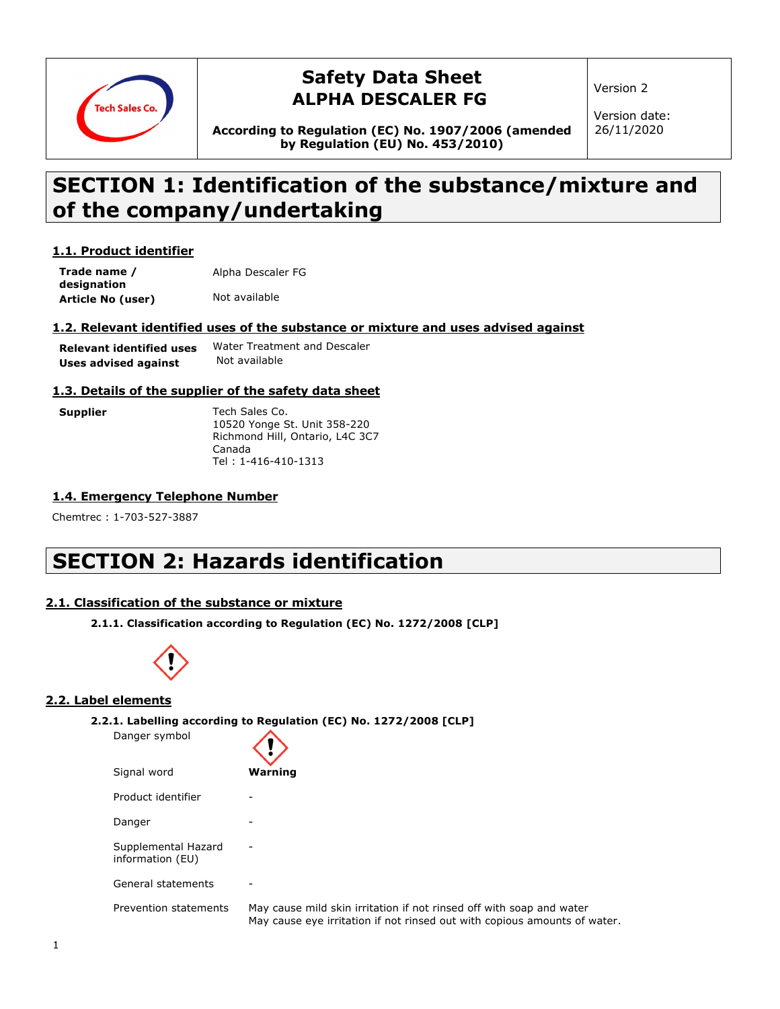

### **Safety Data Sheet ALPHA DESCALER FG**

Version 2

Version date: 26/11/2020

**According to Regulation (EC) No. 1907/2006 (amended by Regulation (EU) No. 453/2010)**

# **SECTION 1: Identification of the substance/mixture and of the company/undertaking**

### **1.1. Product identifier**

**Trade name / designation Article No (user)** Not available Alpha Descaler FG

### **1.2. Relevant identified uses of the substance or mixture and uses advised against**

| <b>Relevant identified uses</b> | Water Treatment and Descaler |
|---------------------------------|------------------------------|
| Uses advised against            | Not available                |

### **1.3. Details of the supplier of the safety data sheet**

| Supplier | Tech Sales Co.                  |
|----------|---------------------------------|
|          | 10520 Yonge St. Unit 358-220    |
|          | Richmond Hill, Ontario, L4C 3C7 |
|          | Canada                          |
|          | Tel: 1-416-410-1313             |

### **1.4. Emergency Telephone Number**

Chemtrec : 1-703-527-3887

# **SECTION 2: Hazards identification**

### **2.1. Classification of the substance or mixture**

**2.1.1. Classification according to Regulation (EC) No. 1272/2008 [CLP]**



Danger symbol

### **2.2. Label elements**

**2.2.1. Labelling according to Regulation (EC) No. 1272/2008 [CLP]**

| Danger symbol                           |                                                                                                                                                   |
|-----------------------------------------|---------------------------------------------------------------------------------------------------------------------------------------------------|
| Signal word                             | Warning                                                                                                                                           |
| Product identifier                      |                                                                                                                                                   |
| Danger                                  |                                                                                                                                                   |
| Supplemental Hazard<br>information (EU) |                                                                                                                                                   |
| General statements                      |                                                                                                                                                   |
| Prevention statements                   | May cause mild skin irritation if not rinsed off with soap and water<br>May cause eye irritation if not rinsed out with copious amounts of water. |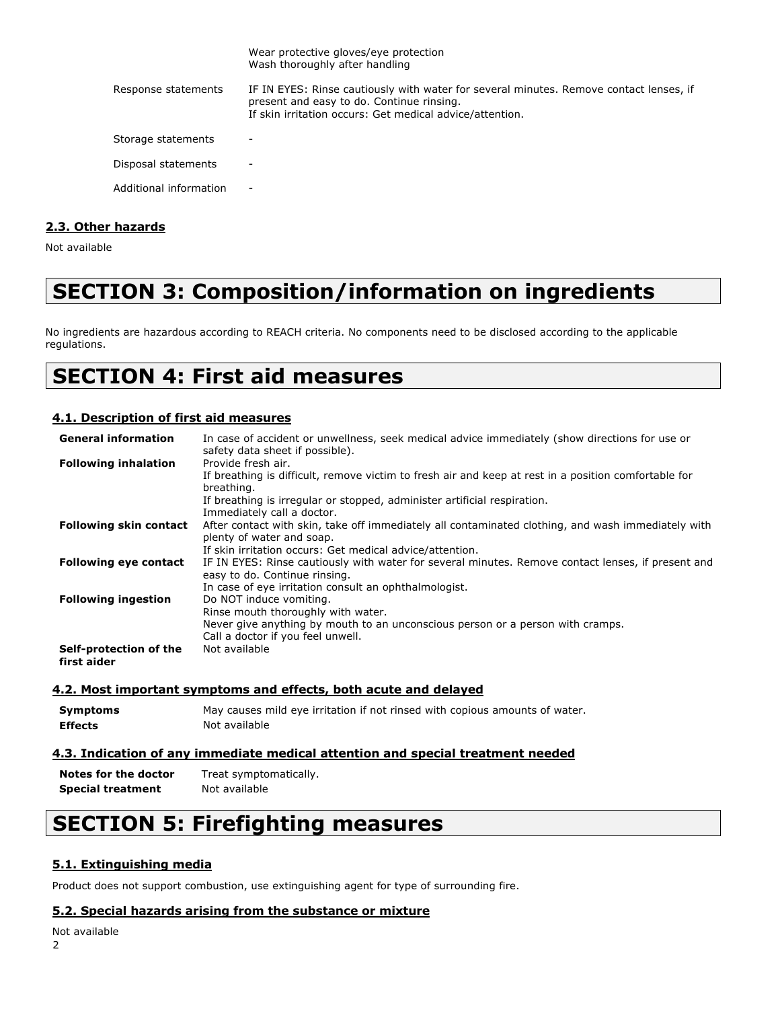|                        | Wear protective gloves/eye protection<br>Wash thoroughly after handling                                                                                                                         |
|------------------------|-------------------------------------------------------------------------------------------------------------------------------------------------------------------------------------------------|
| Response statements    | IF IN EYES: Rinse cautiously with water for several minutes. Remove contact lenses, if<br>present and easy to do. Continue rinsing.<br>If skin irritation occurs: Get medical advice/attention. |
| Storage statements     |                                                                                                                                                                                                 |
| Disposal statements    | $\overline{\phantom{a}}$                                                                                                                                                                        |
| Additional information | -                                                                                                                                                                                               |

### **2.3. Other hazards**

Not available

# **SECTION 3: Composition/information on ingredients**

No ingredients are hazardous according to REACH criteria. No components need to be disclosed according to the applicable regulations.

# **SECTION 4: First aid measures**

### **4.1. Description of first aid measures**

| <b>General information</b>            | In case of accident or unwellness, seek medical advice immediately (show directions for use or<br>safety data sheet if possible).   |
|---------------------------------------|-------------------------------------------------------------------------------------------------------------------------------------|
| <b>Following inhalation</b>           | Provide fresh air.                                                                                                                  |
|                                       | If breathing is difficult, remove victim to fresh air and keep at rest in a position comfortable for<br>breathing.                  |
|                                       | If breathing is irregular or stopped, administer artificial respiration.<br>Immediately call a doctor.                              |
| <b>Following skin contact</b>         | After contact with skin, take off immediately all contaminated clothing, and wash immediately with<br>plenty of water and soap.     |
|                                       | If skin irritation occurs: Get medical advice/attention.                                                                            |
| <b>Following eye contact</b>          | IF IN EYES: Rinse cautiously with water for several minutes. Remove contact lenses, if present and<br>easy to do. Continue rinsing. |
|                                       | In case of eye irritation consult an ophthalmologist.                                                                               |
| <b>Following ingestion</b>            | Do NOT induce vomiting.                                                                                                             |
|                                       | Rinse mouth thoroughly with water.                                                                                                  |
|                                       | Never give anything by mouth to an unconscious person or a person with cramps.                                                      |
|                                       | Call a doctor if you feel unwell.                                                                                                   |
| Self-protection of the<br>first aider | Not available                                                                                                                       |

### **4.2. Most important symptoms and effects, both acute and delayed**

**Symptoms** May causes mild eye irritation if not rinsed with copious amounts of water. **Effects** Not available

### **4.3. Indication of any immediate medical attention and special treatment needed**

**Notes for the doctor** Treat symptomatically. **Special treatment** Not available

# **SECTION 5: Firefighting measures**

### **5.1. Extinguishing media**

Product does not support combustion, use extinguishing agent for type of surrounding fire.

### **5.2. Special hazards arising from the substance or mixture**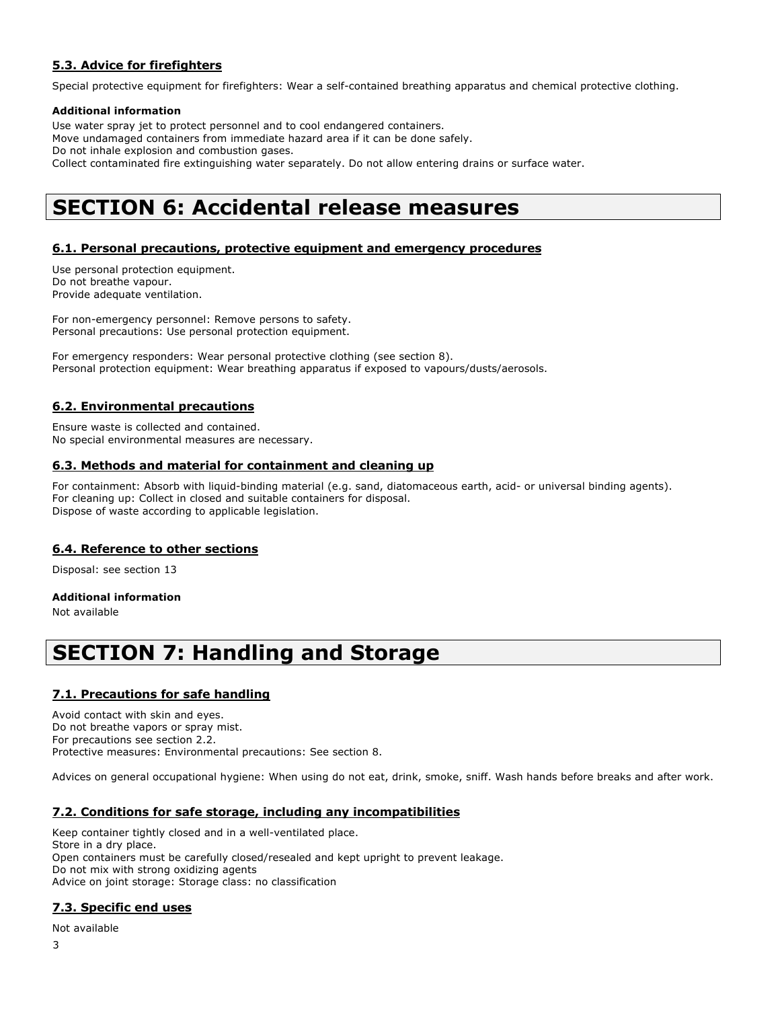### **5.3. Advice for firefighters**

Special protective equipment for firefighters: Wear a self-contained breathing apparatus and chemical protective clothing.

### **Additional information**

Use water spray jet to protect personnel and to cool endangered containers. Move undamaged containers from immediate hazard area if it can be done safely. Do not inhale explosion and combustion gases. Collect contaminated fire extinguishing water separately. Do not allow entering drains or surface water.

# **SECTION 6: Accidental release measures**

### **6.1. Personal precautions, protective equipment and emergency procedures**

Use personal protection equipment. Do not breathe vapour. Provide adequate ventilation.

For non-emergency personnel: Remove persons to safety. Personal precautions: Use personal protection equipment.

For emergency responders: Wear personal protective clothing (see section 8). Personal protection equipment: Wear breathing apparatus if exposed to vapours/dusts/aerosols.

### **6.2. Environmental precautions**

Ensure waste is collected and contained. No special environmental measures are necessary.

### **6.3. Methods and material for containment and cleaning up**

For containment: Absorb with liquid-binding material (e.g. sand, diatomaceous earth, acid- or universal binding agents). For cleaning up: Collect in closed and suitable containers for disposal. Dispose of waste according to applicable legislation.

### **6.4. Reference to other sections**

Disposal: see section 13

### **Additional information**

Not available

## **SECTION 7: Handling and Storage**

### **7.1. Precautions for safe handling**

Avoid contact with skin and eyes. Do not breathe vapors or spray mist. For precautions see section 2.2. Protective measures: Environmental precautions: See section 8.

Advices on general occupational hygiene: When using do not eat, drink, smoke, sniff. Wash hands before breaks and after work.

### **7.2. Conditions for safe storage, including any incompatibilities**

Keep container tightly closed and in a well-ventilated place. Store in a dry place. Open containers must be carefully closed/resealed and kept upright to prevent leakage. Do not mix with strong oxidizing agents Advice on joint storage: Storage class: no classification

### **7.3. Specific end uses**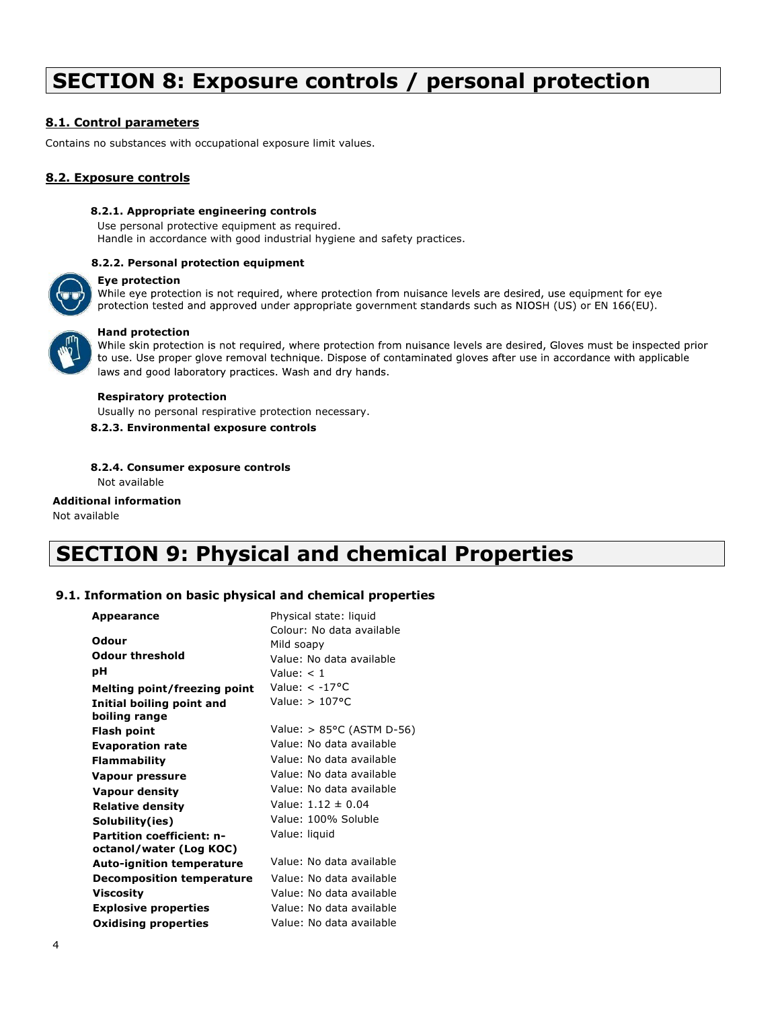# **SECTION 8: Exposure controls / personal protection**

### **8.1. Control parameters**

Contains no substances with occupational exposure limit values.

### **8.2. Exposure controls**

#### **8.2.1. Appropriate engineering controls**

Use personal protective equipment as required. Handle in accordance with good industrial hygiene and safety practices.

#### **8.2.2. Personal protection equipment**

#### **Eye protection**

While eye protection is not required, where protection from nuisance levels are desired, use equipment for eye protection tested and approved under appropriate government standards such as NIOSH (US) or EN 166(EU).



Hand protection<br>While skin protection is not required, where protection from nuisance levels are desired, Gloves must be inspected prior to use. Use proper glove removal technique. Dispose of contaminated gloves after use in accordance with applicable laws and good laboratory practices. Wash and dry hands.

#### **Respiratory protection**

Usually no personal respirative protection necessary.

**8.2.3. Environmental exposure controls** 

#### **8.2.4. Consumer exposure controls**

Not available

#### **Additional information**  Not available

# **SECTION 9: Physical and chemical Properties**

### **9.1. Information on basic physical and chemical properties**

| <b>Appearance</b>                   | Physical state: liquid              |
|-------------------------------------|-------------------------------------|
|                                     | Colour: No data available           |
| Odour                               | Mild soapy                          |
| <b>Odour threshold</b>              | Value: No data available            |
| рH                                  | Value: $< 1$                        |
| <b>Melting point/freezing point</b> | Value: $< -17$ <sup>o</sup> C       |
| Initial boiling point and           | Value: $> 107$ °C                   |
| boiling range                       |                                     |
| <b>Flash point</b>                  | Value: $> 85^{\circ}$ C (ASTM D-56) |
| <b>Evaporation rate</b>             | Value: No data available            |
| <b>Flammability</b>                 | Value: No data available            |
| Vapour pressure                     | Value: No data available            |
| <b>Vapour density</b>               | Value: No data available            |
| <b>Relative density</b>             | Value: $1.12 \pm 0.04$              |
| Solubility(ies)                     | Value: 100% Soluble                 |
| <b>Partition coefficient: n-</b>    | Value: liquid                       |
| octanol/water (Log KOC)             |                                     |
| <b>Auto-ignition temperature</b>    | Value: No data available            |
| <b>Decomposition temperature</b>    | Value: No data available            |
| Viscosity                           | Value: No data available            |
| <b>Explosive properties</b>         | Value: No data available            |
| <b>Oxidising properties</b>         | Value: No data available            |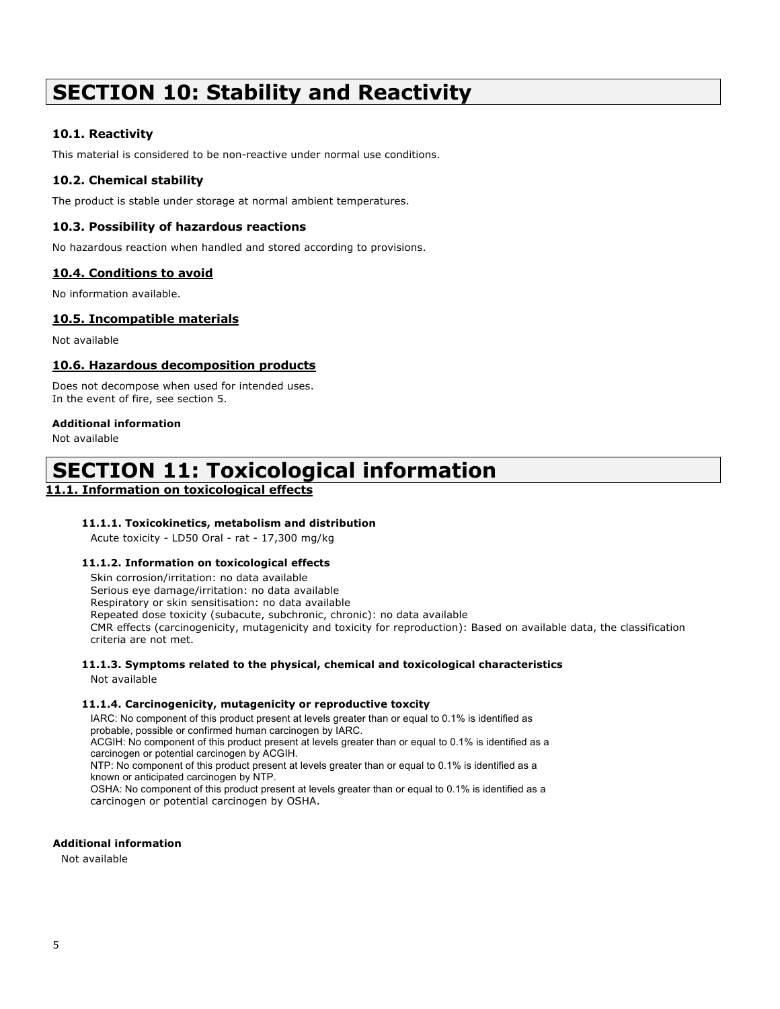# **SECTION 10: Stability and Reactivity**

### **10.1. Reactivity**

This material is considered to be non-reactive under normal use conditions.

### **10.2. Chemical stability**

The product is stable under storage at normal ambient temperatures.

### **10.3. Possibility of hazardous reactions**

No hazardous reaction when handled and stored according to provisions.

### **10.4. Conditions to avoid**

No information available.

### **10.5. Incompatible materials**

Not available

### **10.6. Hazardous decomposition products**

Does not decompose when used for intended uses. In the event of fire, see section 5.

### **Additional information**

Not available

# **SECTION 11: Toxicological information**

### **11.1. Information on toxicological effects**

### **11.1.1. Toxicokinetics, metabolism and distribution**

Acute toxicity - LD50 Oral - rat - 17,300 mg/kg

### **11.1.2. Information on toxicological effects**

Skin corrosion/irritation: no data available Serious eye damage/irritation: no data available Respiratory or skin sensitisation: no data available Repeated dose toxicity (subacute, subchronic, chronic): no data available CMR effects (carcinogenicity, mutagenicity and toxicity for reproduction): Based on available data, the classification criteria are not met.

### **11.1.3. Symptoms related to the physical, chemical and toxicological characteristics**

Not available

### **11.1.4. Carcinogenicity, mutagenicity or reproductive toxcity**

IARC: No component of this product present at levels greater than or equal to 0.1% is identified as probable, possible or confirmed human carcinogen by IARC. ACGIH: No component of this product present at levels greater than or equal to 0.1% is identified as a carcinogen or potential carcinogen by ACGIH. NTP: No component of this product present at levels greater than or equal to 0.1% is identified as a known or anticipated carcinogen by NTP. OSHA: No component of this product present at levels greater than or equal to 0.1% is identified as a carcinogen or potential carcinogen by OSHA.

#### **Additional information**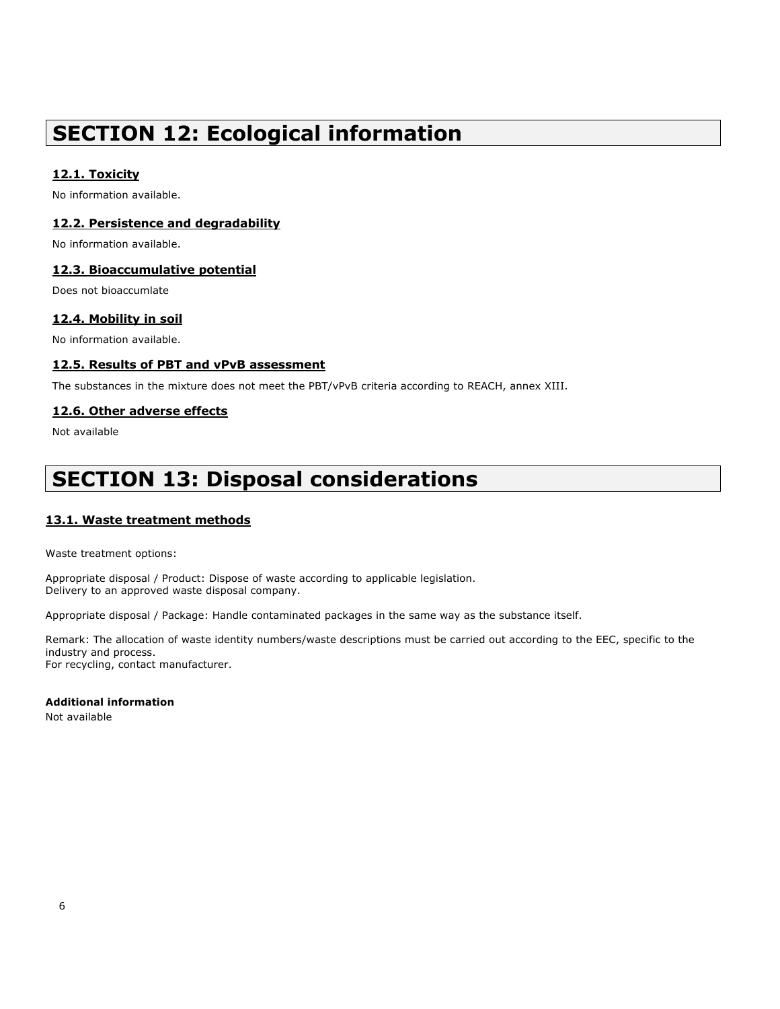# **SECTION 12: Ecological information**

### **12.1. Toxicity**

No information available.

### **12.2. Persistence and degradability**

No information available.

### **12.3. Bioaccumulative potential**

Does not bioaccumlate

### **12.4. Mobility in soil**

No information available.

### **12.5. Results of PBT and vPvB assessment**

The substances in the mixture does not meet the PBT/vPvB criteria according to REACH, annex XIII.

### **12.6. Other adverse effects**

Not available

# **SECTION 13: Disposal considerations**

### **13.1. Waste treatment methods**

Waste treatment options:

Appropriate disposal / Product: Dispose of waste according to applicable legislation. Delivery to an approved waste disposal company.

Appropriate disposal / Package: Handle contaminated packages in the same way as the substance itself.

Remark: The allocation of waste identity numbers/waste descriptions must be carried out according to the EEC, specific to the industry and process. For recycling, contact manufacturer.

### **Additional information**